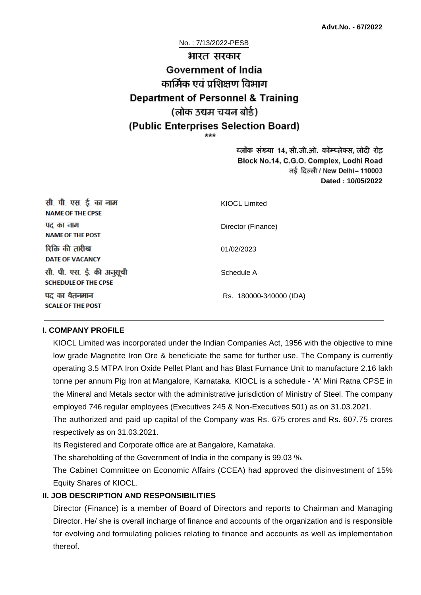#### No. : 7/13/2022-PESB

# भारत सरकार **Government of India** कार्मिक एवं पशिक्षण विभाग **Department of Personnel & Training** (लोक उद्यम चयन बोर्ड) (Public Enterprises Selection Board)

ब्लॉक संख्या 14, सी.जी.ओ. कॉम्प्लेक्स, लोदी रोड Block No.14, C.G.O. Complex, Lodhi Road ਰई दिल्ली / New Delhi– 110003 **Dated : 10/05/2022**

| सी. पी. एस. ई. का नाम<br><b>NAME OF THE CPSE</b>         | KIOCL Limited           |
|----------------------------------------------------------|-------------------------|
| पद का नाम<br><b>NAME OF THE POST</b>                     | Director (Finance)      |
| रिक्ति की तारीख<br><b>DATE OF VACANCY</b>                | 01/02/2023              |
| सी. पी. एस. ई. की अनुसूची<br><b>SCHEDULE OF THE CPSE</b> | Schedule A              |
| पद का वेतनमान<br><b>SCALE OF THE POST</b>                | Rs. 180000-340000 (IDA) |

#### **I. COMPANY PROFILE**

KIOCL Limited was incorporated under the Indian Companies Act, 1956 with the objective to mine low grade Magnetite Iron Ore & beneficiate the same for further use. The Company is currently operating 3.5 MTPA Iron Oxide Pellet Plant and has Blast Furnance Unit to manufacture 2.16 lakh tonne per annum Pig Iron at Mangalore, Karnataka. KIOCL is a schedule - 'A' Mini Ratna CPSE in the Mineral and Metals sector with the administrative jurisdiction of Ministry of Steel. The company employed 746 regular employees (Executives 245 & Non-Executives 501) as on 31.03.2021.

The authorized and paid up capital of the Company was Rs. 675 crores and Rs. 607.75 crores respectively as on 31.03.2021.

Its Registered and Corporate office are at Bangalore, Karnataka.

The shareholding of the Government of India in the company is 99.03 %.

The Cabinet Committee on Economic Affairs (CCEA) had approved the disinvestment of 15% Equity Shares of KIOCL.

#### **II. JOB DESCRIPTION AND RESPONSIBILITIES**

Director (Finance) is a member of Board of Directors and reports to Chairman and Managing Director. He/ she is overall incharge of finance and accounts of the organization and is responsible for evolving and formulating policies relating to finance and accounts as well as implementation thereof.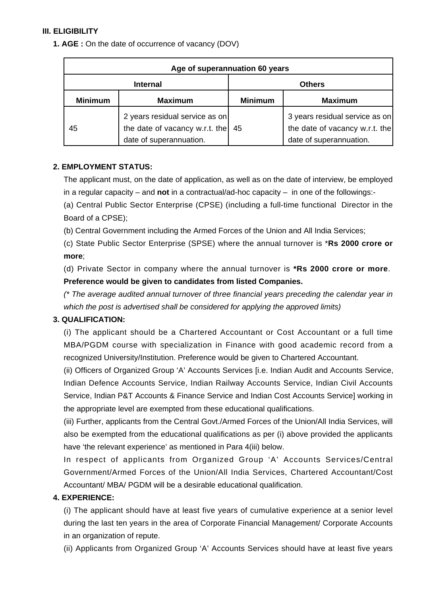## **III. ELIGIBILITY**

**1. AGE :** On the date of occurrence of vacancy (DOV)

| Age of superannuation 60 years |                                                                                             |                |                                                                                             |
|--------------------------------|---------------------------------------------------------------------------------------------|----------------|---------------------------------------------------------------------------------------------|
| <b>Internal</b>                |                                                                                             | <b>Others</b>  |                                                                                             |
| <b>Minimum</b>                 | <b>Maximum</b>                                                                              | <b>Minimum</b> | <b>Maximum</b>                                                                              |
| 45                             | 2 years residual service as on<br>the date of vacancy w.r.t. the<br>date of superannuation. | 45             | 3 years residual service as on<br>the date of vacancy w.r.t. the<br>date of superannuation. |

## **2. EMPLOYMENT STATUS:**

The applicant must, on the date of application, as well as on the date of interview, be employed in a regular capacity – and **not** in a contractual/ad-hoc capacity – in one of the followings:-

(a) Central Public Sector Enterprise (CPSE) (including a full-time functional Director in the Board of a CPSE);

(b) Central Government including the Armed Forces of the Union and All India Services;

(c) State Public Sector Enterprise (SPSE) where the annual turnover is \***Rs 2000 crore or more**;

(d) Private Sector in company where the annual turnover is **\*Rs 2000 crore or more**. **Preference would be given to candidates from listed Companies.**

(\* The average audited annual turnover of three financial years preceding the calendar year in which the post is advertised shall be considered for applying the approved limits)

# **3. QUALIFICATION:**

(i) The applicant should be a Chartered Accountant or Cost Accountant or a full time MBA/PGDM course with specialization in Finance with good academic record from a recognized University/Institution. Preference would be given to Chartered Accountant.

(ii) Officers of Organized Group 'A' Accounts Services [i.e. Indian Audit and Accounts Service, Indian Defence Accounts Service, Indian Railway Accounts Service, Indian Civil Accounts Service, Indian P&T Accounts & Finance Service and Indian Cost Accounts Service] working in the appropriate level are exempted from these educational qualifications.

(iii) Further, applicants from the Central Govt./Armed Forces of the Union/All India Services, will also be exempted from the educational qualifications as per (i) above provided the applicants have 'the relevant experience' as mentioned in Para 4(iii) below.

In respect of applicants from Organized Group 'A' Accounts Services/Central Government/Armed Forces of the Union/All India Services, Chartered Accountant/Cost Accountant/ MBA/ PGDM will be a desirable educational qualification.

## **4. EXPERIENCE:**

(i) The applicant should have at least five years of cumulative experience at a senior level during the last ten years in the area of Corporate Financial Management/ Corporate Accounts in an organization of repute.

(ii) Applicants from Organized Group 'A' Accounts Services should have at least five years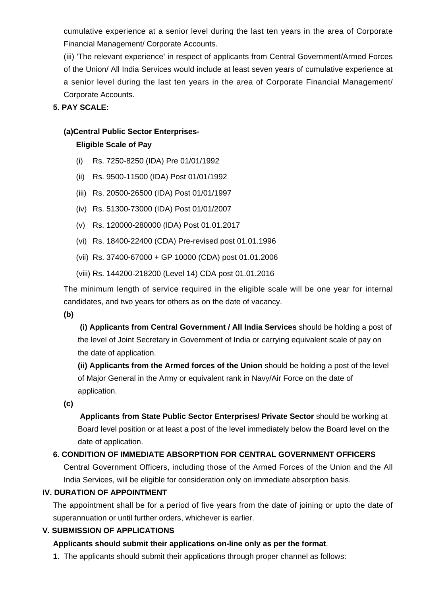cumulative experience at a senior level during the last ten years in the area of Corporate Financial Management/ Corporate Accounts.

(iii) 'The relevant experience' in respect of applicants from Central Government/Armed Forces of the Union/ All India Services would include at least seven years of cumulative experience at a senior level during the last ten years in the area of Corporate Financial Management/ Corporate Accounts.

## **5. PAY SCALE:**

#### **(a)Central Public Sector Enterprises-**

#### **Eligible Scale of Pay**

- (i) Rs. 7250-8250 (IDA) Pre 01/01/1992
- (ii) Rs. 9500-11500 (IDA) Post 01/01/1992
- (iii) Rs. 20500-26500 (IDA) Post 01/01/1997
- (iv) Rs. 51300-73000 (IDA) Post 01/01/2007
- (v) Rs. 120000-280000 (IDA) Post 01.01.2017
- (vi) Rs. 18400-22400 (CDA) Pre-revised post 01.01.1996
- (vii) Rs. 37400-67000 + GP 10000 (CDA) post 01.01.2006
- (viii) Rs. 144200-218200 (Level 14) CDA post 01.01.2016

The minimum length of service required in the eligible scale will be one year for internal candidates, and two years for others as on the date of vacancy.

**(b)**

**(i) Applicants from Central Government / All India Services** should be holding a post of the level of Joint Secretary in Government of India or carrying equivalent scale of pay on the date of application.

**(ii) Applicants from the Armed forces of the Union** should be holding a post of the level of Major General in the Army or equivalent rank in Navy/Air Force on the date of application.

**(c)**

 **Applicants from State Public Sector Enterprises/ Private Sector** should be working at Board level position or at least a post of the level immediately below the Board level on the date of application.

# **6. CONDITION OF IMMEDIATE ABSORPTION FOR CENTRAL GOVERNMENT OFFICERS**

Central Government Officers, including those of the Armed Forces of the Union and the All India Services, will be eligible for consideration only on immediate absorption basis.

## **IV. DURATION OF APPOINTMENT**

The appointment shall be for a period of five years from the date of joining or upto the date of superannuation or until further orders, whichever is earlier.

## **V. SUBMISSION OF APPLICATIONS**

# **Applicants should submit their applications on-line only as per the format**.

**1**. The applicants should submit their applications through proper channel as follows: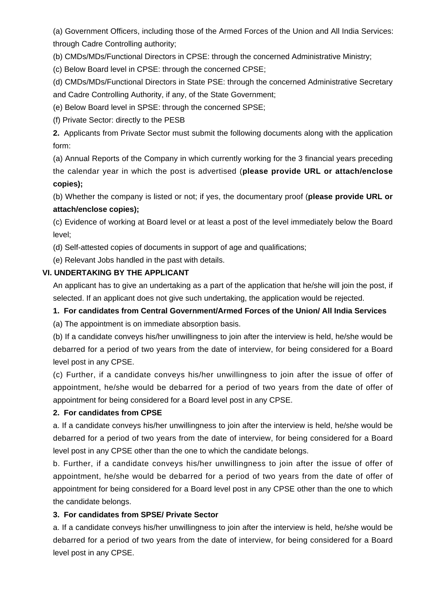(a) Government Officers, including those of the Armed Forces of the Union and All India Services: through Cadre Controlling authority;

(b) CMDs/MDs/Functional Directors in CPSE: through the concerned Administrative Ministry;

(c) Below Board level in CPSE: through the concerned CPSE;

(d) CMDs/MDs/Functional Directors in State PSE: through the concerned Administrative Secretary and Cadre Controlling Authority, if any, of the State Government;

(e) Below Board level in SPSE: through the concerned SPSE;

(f) Private Sector: directly to the PESB

**2.** Applicants from Private Sector must submit the following documents along with the application form:

(a) Annual Reports of the Company in which currently working for the 3 financial years preceding the calendar year in which the post is advertised (**please provide URL or attach/enclose copies);**

(b) Whether the company is listed or not; if yes, the documentary proof (**please provide URL or attach/enclose copies);**

(c) Evidence of working at Board level or at least a post of the level immediately below the Board level;

(d) Self-attested copies of documents in support of age and qualifications;

(e) Relevant Jobs handled in the past with details.

## **VI. UNDERTAKING BY THE APPLICANT**

An applicant has to give an undertaking as a part of the application that he/she will join the post, if selected. If an applicant does not give such undertaking, the application would be rejected.

# **1. For candidates from Central Government/Armed Forces of the Union/ All India Services**

(a) The appointment is on immediate absorption basis.

(b) If a candidate conveys his/her unwillingness to join after the interview is held, he/she would be debarred for a period of two years from the date of interview, for being considered for a Board level post in any CPSE.

(c) Further, if a candidate conveys his/her unwillingness to join after the issue of offer of appointment, he/she would be debarred for a period of two years from the date of offer of appointment for being considered for a Board level post in any CPSE.

## **2. For candidates from CPSE**

a. If a candidate conveys his/her unwillingness to join after the interview is held, he/she would be debarred for a period of two years from the date of interview, for being considered for a Board level post in any CPSE other than the one to which the candidate belongs.

b. Further, if a candidate conveys his/her unwillingness to join after the issue of offer of appointment, he/she would be debarred for a period of two years from the date of offer of appointment for being considered for a Board level post in any CPSE other than the one to which the candidate belongs.

## **3. For candidates from SPSE/ Private Sector**

a. If a candidate conveys his/her unwillingness to join after the interview is held, he/she would be debarred for a period of two years from the date of interview, for being considered for a Board level post in any CPSE.